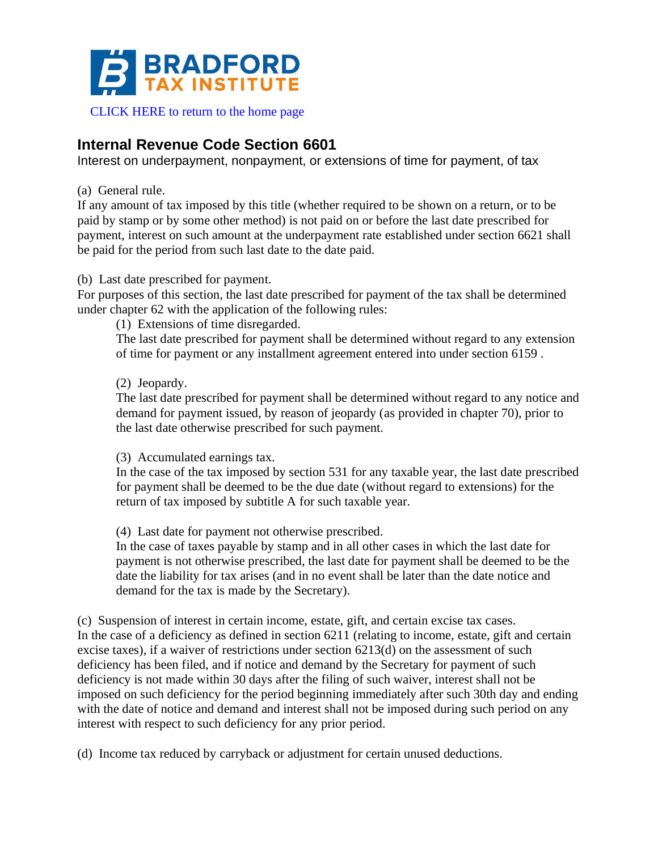

[CLICK HERE to return to the home page](https://www.bradfordtaxinstitute.com)

# **Internal Revenue Code Section 6601**

Interest on underpayment, nonpayment, or extensions of time for payment, of tax

## (a) General rule.

If any amount of tax imposed by this title (whether required to be shown on a return, or to be paid by stamp or by some other method) is not paid on or before the last date prescribed for payment, interest on such amount at the underpayment rate established under section 6621 shall be paid for the period from such last date to the date paid.

(b) Last date prescribed for payment.

For purposes of this section, the last date prescribed for payment of the tax shall be determined under chapter 62 with the application of the following rules:

(1) Extensions of time disregarded.

The last date prescribed for payment shall be determined without regard to any extension of time for payment or any installment agreement entered into under section 6159 .

# (2) Jeopardy.

The last date prescribed for payment shall be determined without regard to any notice and demand for payment issued, by reason of jeopardy (as provided in chapter 70), prior to the last date otherwise prescribed for such payment.

(3) Accumulated earnings tax.

In the case of the tax imposed by section 531 for any taxable year, the last date prescribed for payment shall be deemed to be the due date (without regard to extensions) for the return of tax imposed by subtitle A for such taxable year.

(4) Last date for payment not otherwise prescribed.

In the case of taxes payable by stamp and in all other cases in which the last date for payment is not otherwise prescribed, the last date for payment shall be deemed to be the date the liability for tax arises (and in no event shall be later than the date notice and demand for the tax is made by the Secretary).

(c) Suspension of interest in certain income, estate, gift, and certain excise tax cases. In the case of a deficiency as defined in section 6211 (relating to income, estate, gift and certain excise taxes), if a waiver of restrictions under section 6213(d) on the assessment of such deficiency has been filed, and if notice and demand by the Secretary for payment of such deficiency is not made within 30 days after the filing of such waiver, interest shall not be imposed on such deficiency for the period beginning immediately after such 30th day and ending with the date of notice and demand and interest shall not be imposed during such period on any interest with respect to such deficiency for any prior period.

(d) Income tax reduced by carryback or adjustment for certain unused deductions.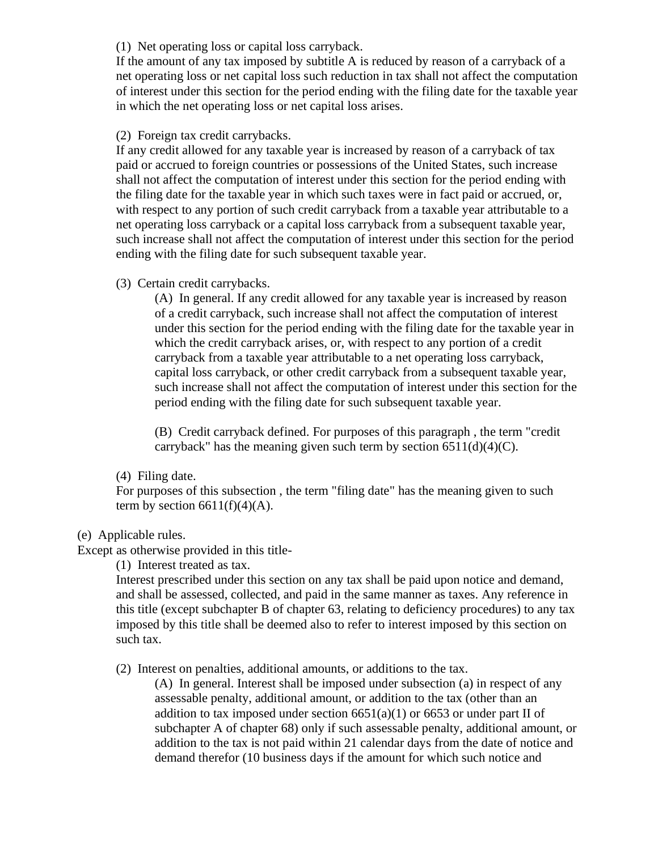#### (1) Net operating loss or capital loss carryback.

If the amount of any tax imposed by subtitle A is reduced by reason of a carryback of a net operating loss or net capital loss such reduction in tax shall not affect the computation of interest under this section for the period ending with the filing date for the taxable year in which the net operating loss or net capital loss arises.

#### (2) Foreign tax credit carrybacks.

If any credit allowed for any taxable year is increased by reason of a carryback of tax paid or accrued to foreign countries or possessions of the United States, such increase shall not affect the computation of interest under this section for the period ending with the filing date for the taxable year in which such taxes were in fact paid or accrued, or, with respect to any portion of such credit carryback from a taxable year attributable to a net operating loss carryback or a capital loss carryback from a subsequent taxable year, such increase shall not affect the computation of interest under this section for the period ending with the filing date for such subsequent taxable year.

#### (3) Certain credit carrybacks.

(A) In general. If any credit allowed for any taxable year is increased by reason of a credit carryback, such increase shall not affect the computation of interest under this section for the period ending with the filing date for the taxable year in which the credit carryback arises, or, with respect to any portion of a credit carryback from a taxable year attributable to a net operating loss carryback, capital loss carryback, or other credit carryback from a subsequent taxable year, such increase shall not affect the computation of interest under this section for the period ending with the filing date for such subsequent taxable year.

(B) Credit carryback defined. For purposes of this paragraph , the term "credit carryback" has the meaning given such term by section  $6511(d)(4)(C)$ .

## (4) Filing date.

For purposes of this subsection , the term "filing date" has the meaning given to such term by section  $6611(f)(4)(A)$ .

## (e) Applicable rules.

Except as otherwise provided in this title-

(1) Interest treated as tax.

Interest prescribed under this section on any tax shall be paid upon notice and demand, and shall be assessed, collected, and paid in the same manner as taxes. Any reference in this title (except subchapter B of chapter 63, relating to deficiency procedures) to any tax imposed by this title shall be deemed also to refer to interest imposed by this section on such tax.

(2) Interest on penalties, additional amounts, or additions to the tax.

(A) In general. Interest shall be imposed under subsection (a) in respect of any assessable penalty, additional amount, or addition to the tax (other than an addition to tax imposed under section  $6651(a)(1)$  or  $6653$  or under part II of subchapter A of chapter 68) only if such assessable penalty, additional amount, or addition to the tax is not paid within 21 calendar days from the date of notice and demand therefor (10 business days if the amount for which such notice and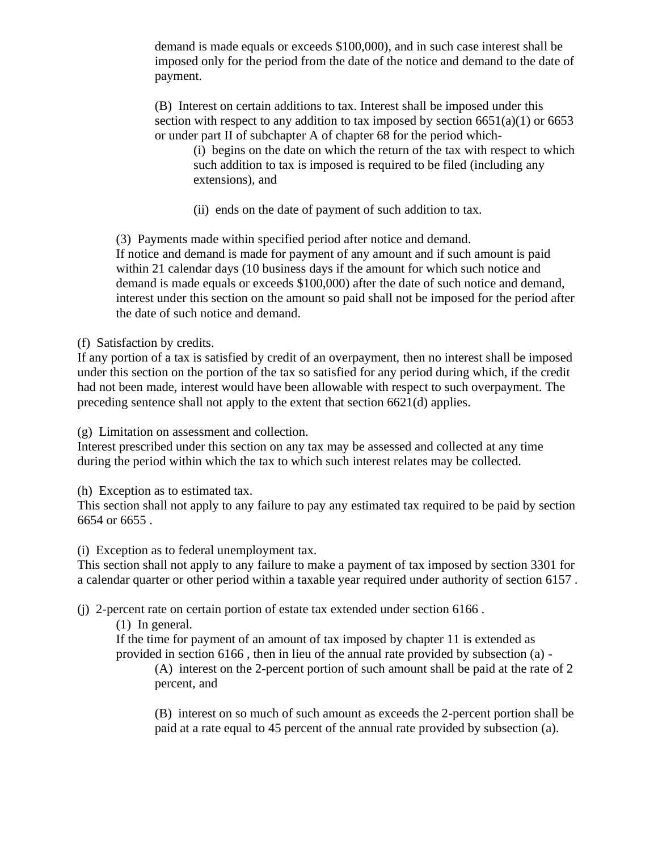demand is made equals or exceeds \$100,000), and in such case interest shall be imposed only for the period from the date of the notice and demand to the date of payment.

(B) Interest on certain additions to tax. Interest shall be imposed under this section with respect to any addition to tax imposed by section  $6651(a)(1)$  or  $6653$ or under part II of subchapter A of chapter 68 for the period which-

(i) begins on the date on which the return of the tax with respect to which such addition to tax is imposed is required to be filed (including any extensions), and

(ii) ends on the date of payment of such addition to tax.

(3) Payments made within specified period after notice and demand.

If notice and demand is made for payment of any amount and if such amount is paid within 21 calendar days (10 business days if the amount for which such notice and demand is made equals or exceeds \$100,000) after the date of such notice and demand, interest under this section on the amount so paid shall not be imposed for the period after the date of such notice and demand.

(f) Satisfaction by credits.

If any portion of a tax is satisfied by credit of an overpayment, then no interest shall be imposed under this section on the portion of the tax so satisfied for any period during which, if the credit had not been made, interest would have been allowable with respect to such overpayment. The preceding sentence shall not apply to the extent that section 6621(d) applies.

(g) Limitation on assessment and collection.

Interest prescribed under this section on any tax may be assessed and collected at any time during the period within which the tax to which such interest relates may be collected.

(h) Exception as to estimated tax.

This section shall not apply to any failure to pay any estimated tax required to be paid by section 6654 or 6655 .

(i) Exception as to federal unemployment tax.

This section shall not apply to any failure to make a payment of tax imposed by section 3301 for a calendar quarter or other period within a taxable year required under authority of section 6157 .

(j) 2-percent rate on certain portion of estate tax extended under section 6166 .

(1) In general.

If the time for payment of an amount of tax imposed by chapter 11 is extended as provided in section 6166 , then in lieu of the annual rate provided by subsection (a) -

(A) interest on the 2-percent portion of such amount shall be paid at the rate of 2 percent, and

(B) interest on so much of such amount as exceeds the 2-percent portion shall be paid at a rate equal to 45 percent of the annual rate provided by subsection (a).